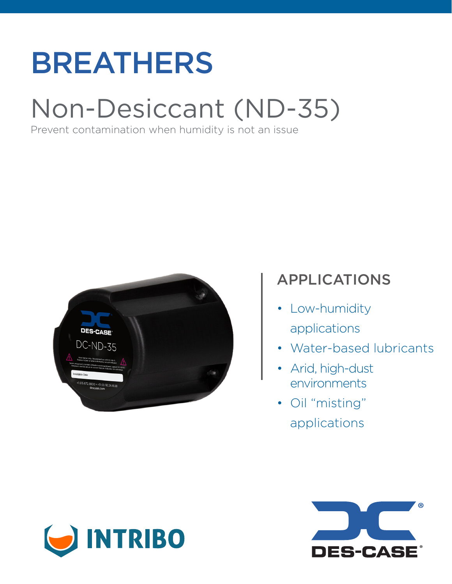# BREATHERS

## Non-Desiccant (ND-35)

Prevent contamination when humidity is not an issue



## APPLICATIONS

- Low-humidity applications
- Water-based lubricants
- Arid, high-dust environments
- Oil "misting" applications